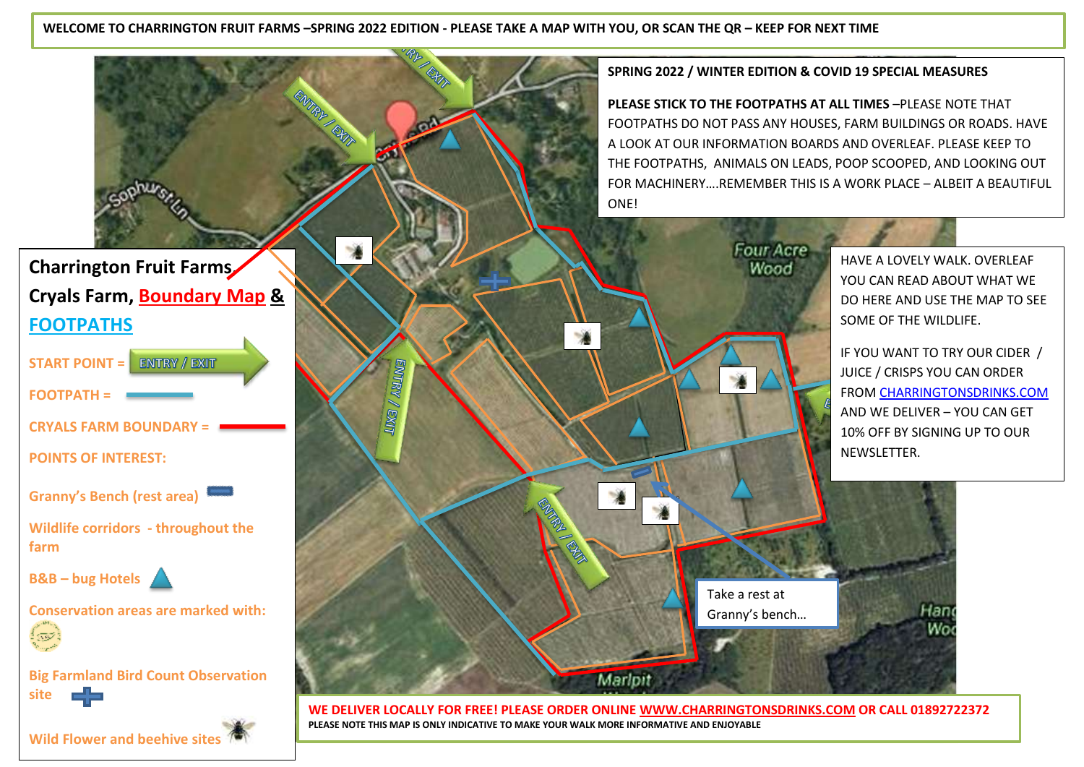**WELCOME TO CHARRINGTON FRUIT FARMS –SPRING 2022 EDITION - PLEASE TAKE A MAP WITH YOU, OR SCAN THE QR – KEEP FOR NEXT TIME**

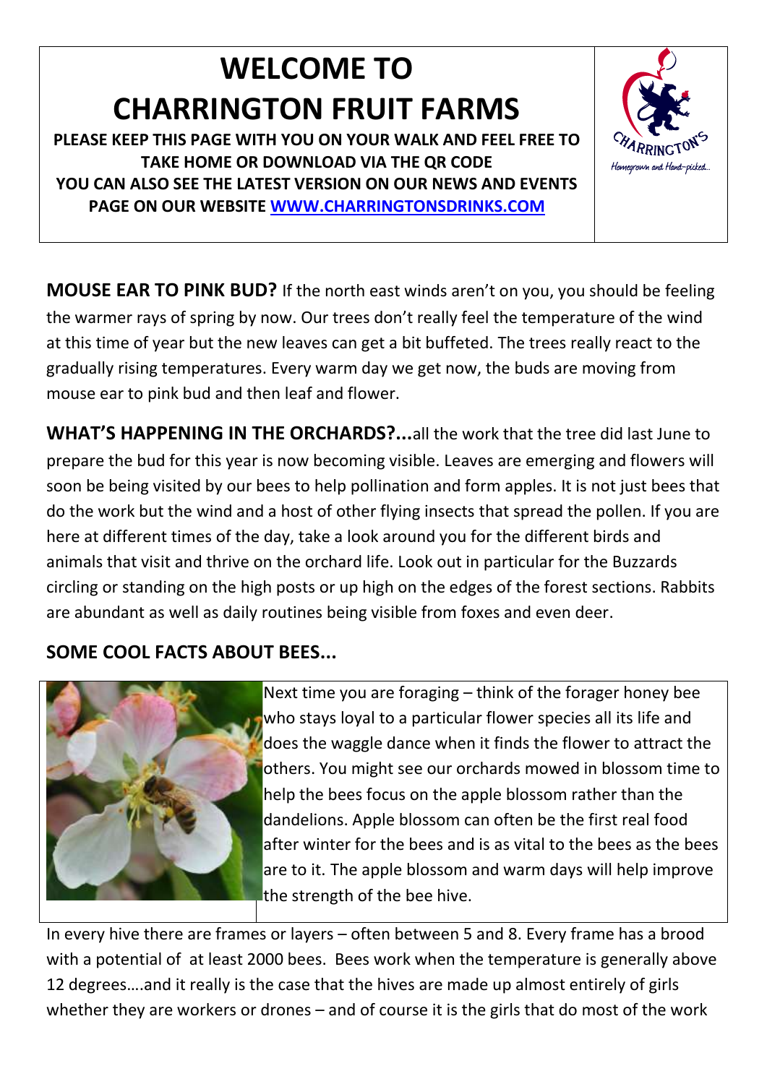# **WELCOME TO CHARRINGTON FRUIT FARMS**

**PLEASE KEEP THIS PAGE WITH YOU ON YOUR WALK AND FEEL FREE TO TAKE HOME OR DOWNLOAD VIA THE QR CODE YOU CAN ALSO SEE THE LATEST VERSION ON OUR NEWS AND EVENTS PAGE ON OUR WEBSITE [WWW.CHARRINGTONSDRINKS.COM](http://www.charringtonsdrinks.com/)** 



**MOUSE EAR TO PINK BUD?** If the north east winds aren't on you, you should be feeling the warmer rays of spring by now. Our trees don't really feel the temperature of the wind at this time of year but the new leaves can get a bit buffeted. The trees really react to the gradually rising temperatures. Every warm day we get now, the buds are moving from mouse ear to pink bud and then leaf and flower.

**WHAT'S HAPPENING IN THE ORCHARDS?...**all the work that the tree did last June to prepare the bud for this year is now becoming visible. Leaves are emerging and flowers will soon be being visited by our bees to help pollination and form apples. It is not just bees that do the work but the wind and a host of other flying insects that spread the pollen. If you are here at different times of the day, take a look around you for the different birds and animals that visit and thrive on the orchard life. Look out in particular for the Buzzards circling or standing on the high posts or up high on the edges of the forest sections. Rabbits are abundant as well as daily routines being visible from foxes and even deer.

# **SOME COOL FACTS ABOUT BEES...**



Next time you are foraging – think of the forager honey bee who stays loyal to a particular flower species all its life and does the waggle dance when it finds the flower to attract the others. You might see our orchards mowed in blossom time to help the bees focus on the apple blossom rather than the dandelions. Apple blossom can often be the first real food after winter for the bees and is as vital to the bees as the bees are to it. The apple blossom and warm days will help improve the strength of the bee hive.

In every hive there are frames or layers – often between 5 and 8. Every frame has a brood with a potential of at least 2000 bees. Bees work when the temperature is generally above 12 degrees….and it really is the case that the hives are made up almost entirely of girls whether they are workers or drones – and of course it is the girls that do most of the work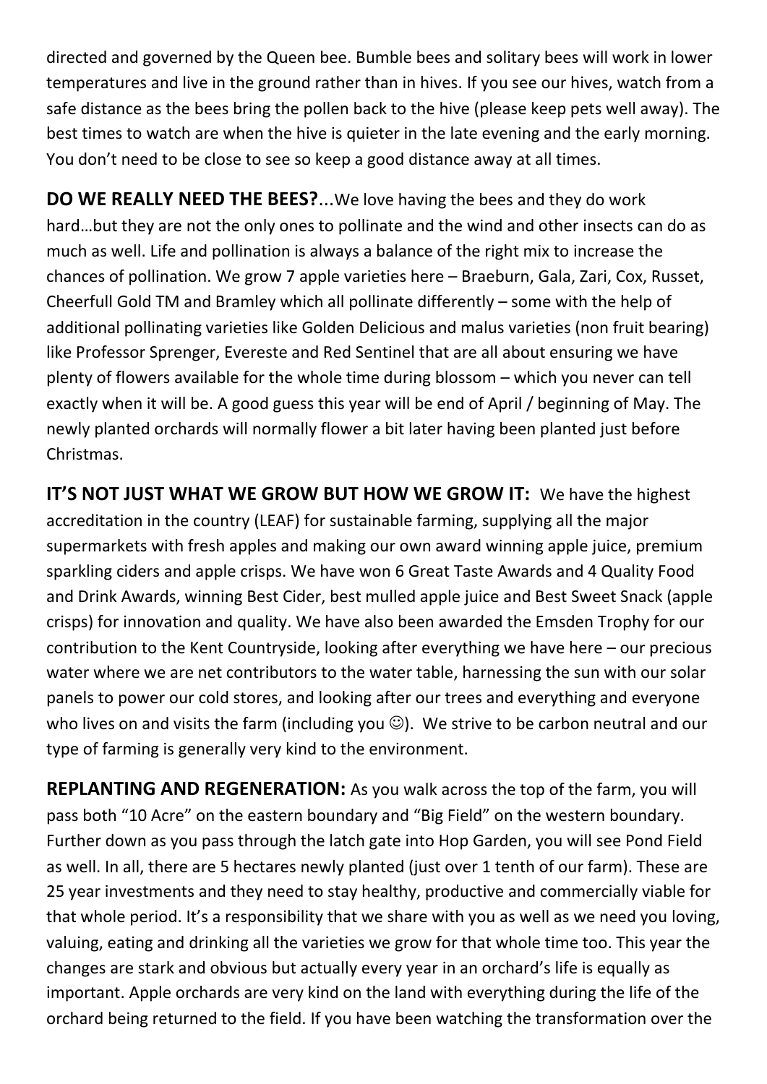directed and governed by the Queen bee. Bumble bees and solitary bees will work in lower temperatures and live in the ground rather than in hives. If you see our hives, watch from a safe distance as the bees bring the pollen back to the hive (please keep pets well away). The best times to watch are when the hive is quieter in the late evening and the early morning. You don't need to be close to see so keep a good distance away at all times.

**DO WE REALLY NEED THE BEES?**...We love having the bees and they do work hard…but they are not the only ones to pollinate and the wind and other insects can do as much as well. Life and pollination is always a balance of the right mix to increase the chances of pollination. We grow 7 apple varieties here – Braeburn, Gala, Zari, Cox, Russet, Cheerfull Gold TM and Bramley which all pollinate differently – some with the help of additional pollinating varieties like Golden Delicious and malus varieties (non fruit bearing) like Professor Sprenger, Evereste and Red Sentinel that are all about ensuring we have plenty of flowers available for the whole time during blossom – which you never can tell exactly when it will be. A good guess this year will be end of April / beginning of May. The newly planted orchards will normally flower a bit later having been planted just before Christmas.

**IT'S NOT JUST WHAT WE GROW BUT HOW WE GROW IT:** We have the highest accreditation in the country (LEAF) for sustainable farming, supplying all the major supermarkets with fresh apples and making our own award winning apple juice, premium sparkling ciders and apple crisps. We have won 6 Great Taste Awards and 4 Quality Food and Drink Awards, winning Best Cider, best mulled apple juice and Best Sweet Snack (apple crisps) for innovation and quality. We have also been awarded the Emsden Trophy for our contribution to the Kent Countryside, looking after everything we have here – our precious water where we are net contributors to the water table, harnessing the sun with our solar panels to power our cold stores, and looking after our trees and everything and everyone who lives on and visits the farm (including you  $\mathbb{O}$ ). We strive to be carbon neutral and our type of farming is generally very kind to the environment.

**REPLANTING AND REGENERATION:** As you walk across the top of the farm, you will pass both "10 Acre" on the eastern boundary and "Big Field" on the western boundary. Further down as you pass through the latch gate into Hop Garden, you will see Pond Field as well. In all, there are 5 hectares newly planted (just over 1 tenth of our farm). These are 25 year investments and they need to stay healthy, productive and commercially viable for that whole period. It's a responsibility that we share with you as well as we need you loving, valuing, eating and drinking all the varieties we grow for that whole time too. This year the changes are stark and obvious but actually every year in an orchard's life is equally as important. Apple orchards are very kind on the land with everything during the life of the orchard being returned to the field. If you have been watching the transformation over the